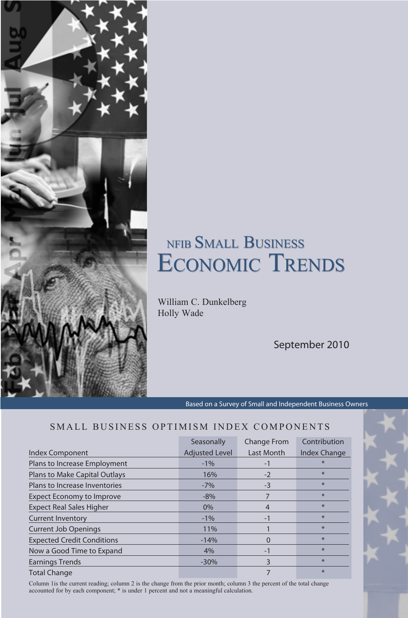# NFIB SMALL BUSINE ECONOMIC TREND

William C. Dunkelberg Holly Wade

September 2010

Based on a Survey of Small and Independent Business Owners

## SMALL BUSINESS OPTIMISM INDEX COMPONENTS

|                                   | Seasonally            | <b>Change From</b> | Contribution |
|-----------------------------------|-----------------------|--------------------|--------------|
| Index Component                   | <b>Adjusted Level</b> | Last Month         | Index Change |
| Plans to Increase Employment      | $-1\%$                | $-1$               | $\ast$       |
| Plans to Make Capital Outlays     | 16%                   | $-2$               | $\ast$       |
| Plans to Increase Inventories     | $-7%$                 | $-3$               | $*$          |
| <b>Expect Economy to Improve</b>  | $-8%$                 | 7                  | $\ast$       |
| <b>Expect Real Sales Higher</b>   | $0\%$                 | $\overline{4}$     | $*$          |
| <b>Current Inventory</b>          | $-1\%$                | $-1$               | $*$          |
| <b>Current Job Openings</b>       | 11%                   |                    | $\ast$       |
| <b>Expected Credit Conditions</b> | $-14%$                | O                  | $\ast$       |
| Now a Good Time to Expand         | 4%                    | $-1$               | $\ast$       |
| <b>Earnings Trends</b>            | $-30%$                | 3                  | $\ast$       |
| <b>Total Change</b>               |                       |                    | $\ast$       |

Column 1is the current reading; column 2 is the change from the prior month; column 3 the percent of the total change accounted for by each component; \* is under 1 percent and not a meaningful calculation.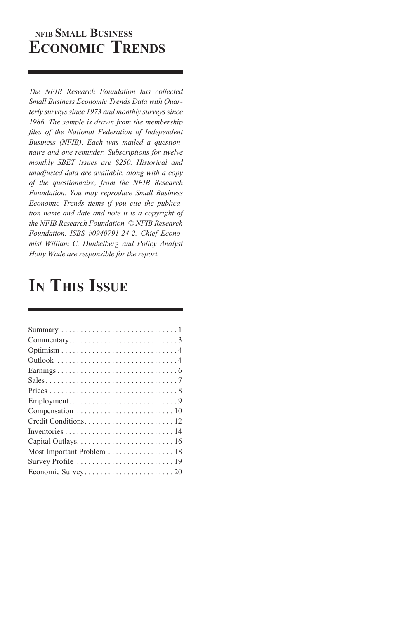## **NFIB Small Business ECONOMIC TRENDS**

*The NFIB Research Foundation has collected Small Business Economic Trends Data with Quarterly surveys since 1973 and monthly surveys since 1986. The sample is drawn from the membership files of the National Federation of Independent Business (NFIB). Each was mailed a questionnaire and one reminder. Subscriptions for twelve monthly SBET issues are \$250. Historical and unadjusted data are available, along with a copy of the questionnaire, from the NFIB Research Foundation. You may reproduce Small Business Economic Trends items if you cite the publication name and date and note it is a copyright of the NFIB Research Foundation. © NFIB Research Foundation. ISBS #0940791-24-2. Chief Economist William C. Dunkelberg and Policy Analyst Holly Wade are responsible for the report.*

## **In This Issue**

| Most Important Problem 18 |
|---------------------------|
|                           |
|                           |
|                           |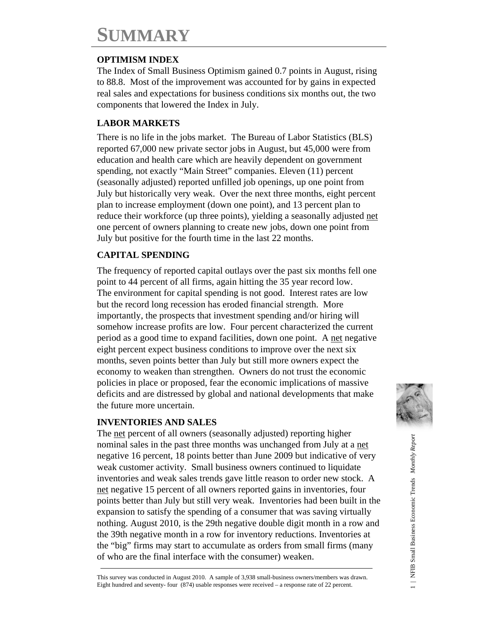## **SUMMARY**

## **OPTIMISM INDEX**

The Index of Small Business Optimism gained 0.7 points in August, rising to 88.8. Most of the improvement was accounted for by gains in expected real sales and expectations for business conditions six months out, the two components that lowered the Index in July.

## **LABOR MARKETS**

There is no life in the jobs market. The Bureau of Labor Statistics (BLS) reported 67,000 new private sector jobs in August, but 45,000 were from education and health care which are heavily dependent on government spending, not exactly "Main Street" companies. Eleven (11) percent (seasonally adjusted) reported unfilled job openings, up one point from July but historically very weak. Over the next three months, eight percent plan to increase employment (down one point), and 13 percent plan to reduce their workforce (up three points), yielding a seasonally adjusted net one percent of owners planning to create new jobs, down one point from July but positive for the fourth time in the last 22 months.

## **CAPITAL SPENDING**

The frequency of reported capital outlays over the past six months fell one point to 44 percent of all firms, again hitting the 35 year record low. The environment for capital spending is not good. Interest rates are low but the record long recession has eroded financial strength. More importantly, the prospects that investment spending and/or hiring will somehow increase profits are low. Four percent characterized the current period as a good time to expand facilities, down one point. A net negative eight percent expect business conditions to improve over the next six months, seven points better than July but still more owners expect the economy to weaken than strengthen. Owners do not trust the economic policies in place or proposed, fear the economic implications of massive deficits and are distressed by global and national developments that make the future more uncertain.

### **INVENTORIES AND SALES**

The net percent of all owners (seasonally adjusted) reporting higher nominal sales in the past three months was unchanged from July at a net negative 16 percent, 18 points better than June 2009 but indicative of very weak customer activity. Small business owners continued to liquidate inventories and weak sales trends gave little reason to order new stock. A net negative 15 percent of all owners reported gains in inventories, four points better than July but still very weak. Inventories had been built in the expansion to satisfy the spending of a consumer that was saving virtually nothing. August 2010, is the 29th negative double digit month in a row and the 39th negative month in a row for inventory reductions. Inventories at the "big" firms may start to accumulate as orders from small firms (many of who are the final interface with the consumer) weaken.



This survey was conducted in August 2010. A sample of 3,938 small-business owners/members was drawn. Eight hundred and seventy- four (874) usable responses were received – a response rate of 22 percent.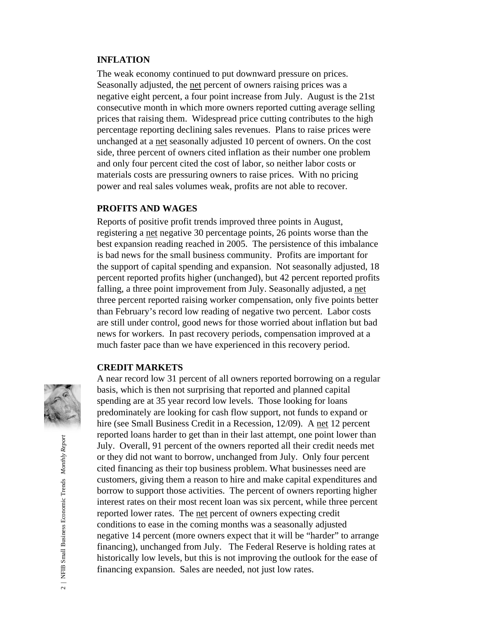#### **INFLATION**

The weak economy continued to put downward pressure on prices. Seasonally adjusted, the net percent of owners raising prices was a negative eight percent, a four point increase from July. August is the 21st consecutive month in which more owners reported cutting average selling prices that raising them. Widespread price cutting contributes to the high percentage reporting declining sales revenues. Plans to raise prices were unchanged at a net seasonally adjusted 10 percent of owners. On the cost side, three percent of owners cited inflation as their number one problem and only four percent cited the cost of labor, so neither labor costs or materials costs are pressuring owners to raise prices. With no pricing power and real sales volumes weak, profits are not able to recover.

### **PROFITS AND WAGES**

Reports of positive profit trends improved three points in August, registering a net negative 30 percentage points, 26 points worse than the best expansion reading reached in 2005. The persistence of this imbalance is bad news for the small business community. Profits are important for the support of capital spending and expansion. Not seasonally adjusted, 18 percent reported profits higher (unchanged), but 42 percent reported profits falling, a three point improvement from July. Seasonally adjusted, a net three percent reported raising worker compensation, only five points better than February's record low reading of negative two percent. Labor costs are still under control, good news for those worried about inflation but bad news for workers. In past recovery periods, compensation improved at a much faster pace than we have experienced in this recovery period.

#### **CREDIT MARKETS**



A near record low 31 percent of all owners reported borrowing on a regular basis, which is then not surprising that reported and planned capital spending are at 35 year record low levels. Those looking for loans predominately are looking for cash flow support, not funds to expand or hire (see Small Business Credit in a Recession, 12/09). A net 12 percent reported loans harder to get than in their last attempt, one point lower than July. Overall, 91 percent of the owners reported all their credit needs met or they did not want to borrow, unchanged from July. Only four percent cited financing as their top business problem. What businesses need are customers, giving them a reason to hire and make capital expenditures and borrow to support those activities. The percent of owners reporting higher interest rates on their most recent loan was six percent, while three percent reported lower rates. The net percent of owners expecting credit conditions to ease in the coming months was a seasonally adjusted negative 14 percent (more owners expect that it will be "harder" to arrange financing), unchanged from July. The Federal Reserve is holding rates at historically low levels, but this is not improving the outlook for the ease of financing expansion. Sales are needed, not just low rates.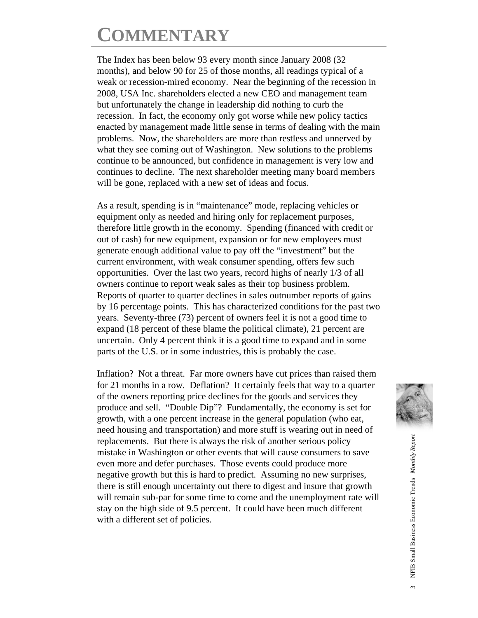# **COMMENTARY**

The Index has been below 93 every month since January 2008 (32 months), and below 90 for 25 of those months, all readings typical of a weak or recession-mired economy. Near the beginning of the recession in 2008, USA Inc. shareholders elected a new CEO and management team but unfortunately the change in leadership did nothing to curb the recession. In fact, the economy only got worse while new policy tactics enacted by management made little sense in terms of dealing with the main problems. Now, the shareholders are more than restless and unnerved by what they see coming out of Washington. New solutions to the problems continue to be announced, but confidence in management is very low and continues to decline. The next shareholder meeting many board members will be gone, replaced with a new set of ideas and focus.

As a result, spending is in "maintenance" mode, replacing vehicles or equipment only as needed and hiring only for replacement purposes, therefore little growth in the economy. Spending (financed with credit or out of cash) for new equipment, expansion or for new employees must generate enough additional value to pay off the "investment" but the current environment, with weak consumer spending, offers few such opportunities. Over the last two years, record highs of nearly 1/3 of all owners continue to report weak sales as their top business problem. Reports of quarter to quarter declines in sales outnumber reports of gains by 16 percentage points. This has characterized conditions for the past two years. Seventy-three (73) percent of owners feel it is not a good time to expand (18 percent of these blame the political climate), 21 percent are uncertain. Only 4 percent think it is a good time to expand and in some parts of the U.S. or in some industries, this is probably the case.

Inflation? Not a threat. Far more owners have cut prices than raised them for 21 months in a row. Deflation? It certainly feels that way to a quarter of the owners reporting price declines for the goods and services they produce and sell. "Double Dip"? Fundamentally, the economy is set for growth, with a one percent increase in the general population (who eat, need housing and transportation) and more stuff is wearing out in need of replacements. But there is always the risk of another serious policy mistake in Washington or other events that will cause consumers to save even more and defer purchases. Those events could produce more negative growth but this is hard to predict. Assuming no new surprises, there is still enough uncertainty out there to digest and insure that growth will remain sub-par for some time to come and the unemployment rate will stay on the high side of 9.5 percent. It could have been much different with a different set of policies.

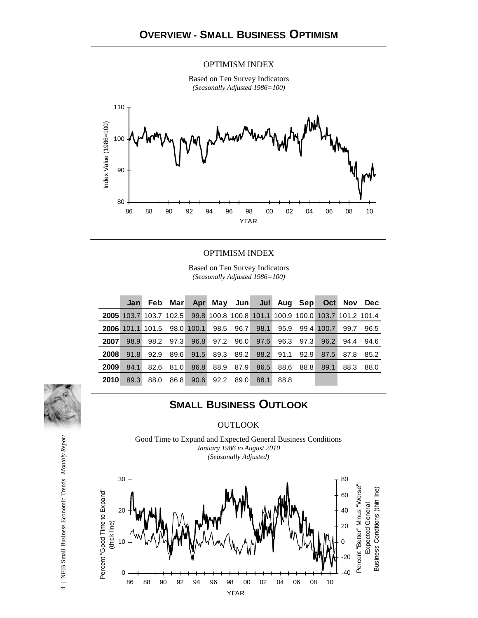#### OPTIMISM INDEX

Based on Ten Survey Indicators *(Seasonally Adjusted 1986=100)*



#### OPTIMISM INDEX

Based on Ten Survey Indicators *(Seasonally Adjusted 1986=100)*

|             |                                                                                    | Jan Feb Marl |      |      |           |                |      |           | Apr May Jun Jul Aug Sep Oct Nov Dec |      |      |
|-------------|------------------------------------------------------------------------------------|--------------|------|------|-----------|----------------|------|-----------|-------------------------------------|------|------|
|             | <b>2005</b> 103.7 103.7 102.5 99.8 100.8 100.8 101.1 100.9 100.0 103.7 101.2 101.4 |              |      |      |           |                |      |           |                                     |      |      |
|             | 2006 101.1 101.5 98.0 100.1 98.5 96.7 98.1 95.9 99.4 100.7                         |              |      |      |           |                |      |           |                                     | 99.7 | 96.5 |
| 2007        | 98.9                                                                               | 98.2         | 97.3 | 96.8 |           | 97.2 96.0 97.6 |      |           | 96.3 97.3 96.2                      | 94.4 | 94.6 |
| 2008        | 91.8                                                                               | 92.9         | 89.6 | 91.5 |           | 89.3 89.2 88.2 |      | 91.1 92.9 | 87.5                                | 87.8 | 85.2 |
| 2009        | 84.1                                                                               | 82.6         | 81.0 | 86.8 | 88.9 87.9 | 86.5           | 88.6 | 88.81     | 89.1                                | 88.3 | 88.0 |
| <b>2010</b> | 89.3                                                                               | 88.0         | 86.8 | 90.6 | 92.2 89.0 | 88.1           | 88.8 |           |                                     |      |      |

## **SMALL BUSINESS OUTLOOK**

#### **OUTLOOK**

Good Time to Expand and Expected General Business Conditions *January 1986 to August 2010 (Seasonally Adjusted)*



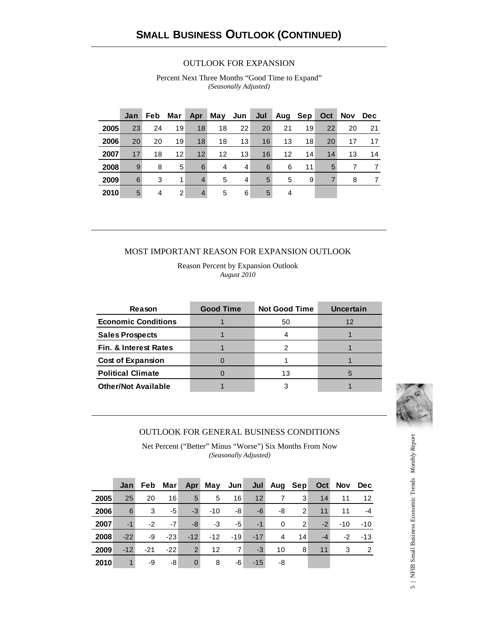#### OUTLOOK FOR EXPANSION

Percent Next Three Months "Good Time to Expand" *(Seasonally Adjusted)*

|      | Jan | <b>Feb</b> | Mar               | Apr             | May $Jun \mid$    |    | Jul |    | Aug Sep | Oct | <b>Nov</b> | <b>Dec</b> |
|------|-----|------------|-------------------|-----------------|-------------------|----|-----|----|---------|-----|------------|------------|
| 2005 | 23  | 24         | 19                | 18              | 18                | 22 | 20  | 21 | 19      | 22  | 20         | 21         |
| 2006 | 20  | 20         | 19                | 18              | 18                | 13 | 16  | 13 | 18      | 20  | 17         | 17         |
| 2007 | 17  | 18         | $12 \overline{ }$ | 12 <sup>2</sup> | $12 \overline{ }$ | 13 | 16  | 12 | 14      | 14  | 13         | 14         |
| 2008 | 9   | 8          | 5                 | 6               | 4                 | 4  | 6   | 6  | 11      | 5   |            | 7          |
| 2009 | 6   | 3          | 1                 | $\overline{4}$  | 5                 | 4  | 5   | 5  | 9       | 7   | 8          | 7          |
| 2010 | 5   | 4          | $\overline{2}$    | $\overline{4}$  | 5                 | 6  | 5   | 4  |         |     |            |            |

#### MOST IMPORTANT REASON FOR EXPANSION OUTLOOK

Reason Percent by Expansion Outlook *August 2010*

| Reason                           | <b>Good Time</b> | <b>Not Good Time</b> | <b>Uncertain</b> |
|----------------------------------|------------------|----------------------|------------------|
| <b>Economic Conditions</b>       |                  | 50                   | 12               |
| <b>Sales Prospects</b>           |                  |                      |                  |
| <b>Fin. &amp; Interest Rates</b> |                  |                      |                  |
| <b>Cost of Expansion</b>         |                  |                      |                  |
| <b>Political Climate</b>         |                  | 13                   |                  |
| <b>Other/Not Available</b>       |                  |                      |                  |



#### OUTLOOK FOR GENERAL BUSINESS CONDITIONS

Net Percent ("Better" Minus "Worse") Six Months From Now *(Seasonally Adjusted)*

|      | Jan   | Feb   | Mar∣  | Apr            | May Jun |                |                 | Jul Aug Sep |                | Oct  | Nov   | Dec           |
|------|-------|-------|-------|----------------|---------|----------------|-----------------|-------------|----------------|------|-------|---------------|
| 2005 | 25    | 20    | 16    | $5^{\circ}$    | 5       | 16             | 12 <sup>7</sup> | 7           | 3              | 14   | 11    | 12            |
| 2006 | 6     | 3     | $-5$  | $-3$           | $-10$   | -8             | -6              | -8          | 2              | 11   | 11    | $-4$          |
| 2007 | $-1$  | $-2$  | $-7$  | -8             | -3      | $-5$           | $-1$            | $\Omega$    | $\overline{2}$ | $-2$ | $-10$ | $-10$         |
| 2008 | $-22$ | -9    | $-23$ | $-12$          | $-12$   | $-19$          | $-17$           | 4           | 14             | $-4$ | -2    | $-13$         |
| 2009 | $-12$ | $-21$ | $-22$ | $\overline{2}$ | 12      | $\overline{7}$ | $-3$            | 10          | 8              | 11   | 3     | $\mathcal{P}$ |
| 2010 | 1     | -9    | -8    | $\overline{0}$ | 8       | -6             | $-15$           | -8          |                |      |       |               |

5 | NFIB Small Business Economic Trends Monthly Report 5 | NFIB Small Business Economic Trends *Monthly Report*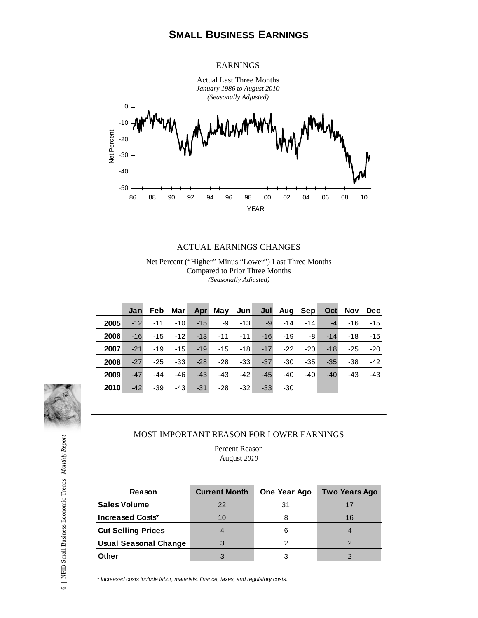#### EARNINGS



#### ACTUAL EARNINGS CHANGES

Net Percent ("Higher" Minus "Lower") Last Three Months Compared to Prior Three Months *(Seasonally Adjusted)*

|      | Jan   | Feb   | Mar∣  | Apr   | May $Jun $ |       |       | Jul Aug Sep |       |       | Oct Nov | Dec   |
|------|-------|-------|-------|-------|------------|-------|-------|-------------|-------|-------|---------|-------|
| 2005 | $-12$ | $-11$ | $-10$ | $-15$ | -9         | $-13$ | $-9$  | $-14$       | $-14$ | $-4$  | $-16$   | $-15$ |
| 2006 | $-16$ | $-15$ | $-12$ | $-13$ | $-11$      | $-11$ | $-16$ | $-19$       | -8    | $-14$ | $-18$   | $-15$ |
| 2007 | $-21$ | $-19$ | $-15$ | $-19$ | $-15$      | $-18$ | $-17$ | $-22$       | $-20$ | $-18$ | $-25$   | $-20$ |
| 2008 | $-27$ | $-25$ | $-33$ | $-28$ | $-28$      | $-33$ | $-37$ | $-30$       | $-35$ | $-35$ | $-38$   | $-42$ |
| 2009 | $-47$ | $-44$ | -46   | $-43$ | $-43$      | $-42$ | $-45$ | $-40$       | $-40$ | $-40$ | $-43$   | $-43$ |
| 2010 | $-42$ | $-39$ | $-43$ | $-31$ | $-28$      | $-32$ | $-33$ | $-30$       |       |       |         |       |



#### MOST IMPORTANT REASON FOR LOWER EARNINGS

Percent Reason August *2010*

| <b>Reason</b>             | <b>Current Month</b> | One Year Ago | Two Years Ago |
|---------------------------|----------------------|--------------|---------------|
| <b>Sales Volume</b>       | 22                   | 31           | 17            |
| <b>Increased Costs*</b>   | 10                   |              | 16            |
| <b>Cut Selling Prices</b> |                      |              |               |
| Usual Seasonal Change     |                      |              |               |
| <b>Other</b>              |                      |              |               |

*\* Increased costs include labor, materials, finance, taxes, and regulatory costs.*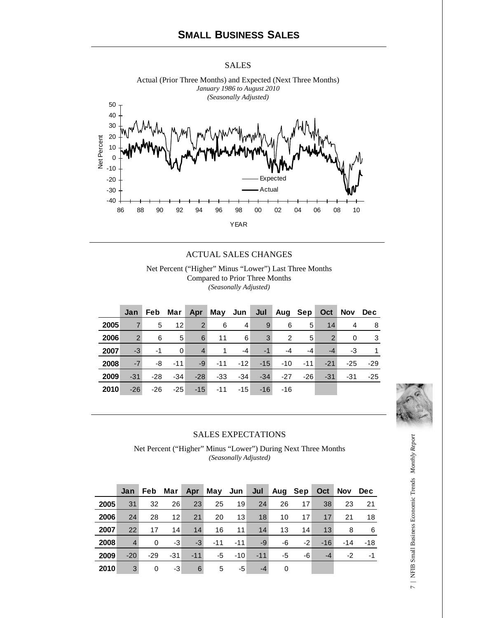#### SALES



Actual (Prior Three Months) and Expected (Next Three Months)

#### ACTUAL SALES CHANGES

Net Percent ("Higher" Minus "Lower") Last Three Months Compared to Prior Three Months *(Seasonally Adjusted)*

|      | Jan            |       |       |                | Feb Mar Apr May Jun |                |              |       |                | Jul Aug Sep Oct | Nov Dec |       |
|------|----------------|-------|-------|----------------|---------------------|----------------|--------------|-------|----------------|-----------------|---------|-------|
| 2005 | $\overline{7}$ | 5     | 12    | $\overline{2}$ | 6                   | $\overline{4}$ | 9            | 6     | 5 <sup>1</sup> | 14              | 4       | -8    |
| 2006 | 2              | 6     | 5     | 6              | 11                  | 6              | $\mathbf{3}$ | 2     | 5              | $\overline{2}$  | 0       | -3    |
| 2007 | $-3$           | $-1$  | 0     | $\overline{4}$ | $\overline{1}$      | $-4$           | $-1$         | -4    | -4             | $-4$            | -3      | -1    |
| 2008 | $-7$           | -8    | $-11$ | $-9$           | $-11$               | $-12$          | $-15$        | -10   | $-11$          | $-21$           | $-25$   | $-29$ |
| 2009 | $-31$          | $-28$ | $-34$ | $-28$          | -33                 | $-34$          | $-34$        | $-27$ | $-26$          | $-31$           | $-31$   | $-25$ |
| 2010 | $-26$          | $-26$ | $-25$ | $-15$          |                     | $-11$ $-15$    | $-16$        | -16   |                |                 |         |       |



#### SALES EXPECTATIONS

Net Percent ("Higher" Minus "Lower") During Next Three Months *(Seasonally Adjusted)*

|      | Jan            | Feb   | Mar               | Apr   | May Jun |       | Jul   | Aug | Sep  | Oct   | <b>Nov</b> | <b>Dec</b> |
|------|----------------|-------|-------------------|-------|---------|-------|-------|-----|------|-------|------------|------------|
| 2005 | 31             | 32    | 26                | 23    | 25      | 19    | 24    | 26  | 17   | 38    | 23         | 21         |
| 2006 | 24             | 28    | $12 \overline{ }$ | 21    | 20      | 13    | 18    | 10  | 17   | 17    | 21         | 18         |
| 2007 | 22             | 17    | 14                | 14    | 16      | 11    | 14    | 13  | 14   | 13    | 8          | 6          |
| 2008 | $\overline{4}$ | 0     | -3                | $-3$  | $-11$   | $-11$ | -9    | -6  | $-2$ | $-16$ | $-14$      | $-18$      |
| 2009 | $-20$          | $-29$ | $-31$             | $-11$ | -5      | $-10$ | $-11$ | -5  | -6   | $-4$  | $-2$       | -1         |
| 2010 | 3              | 0     | -3                | 6     | 5       | -5    | $-4$  | 0   |      |       |            |            |

7 | NFIB Small Business Economic Trends Monthly Report 7 | NFIB Small Business Economic Trends *Monthly Report*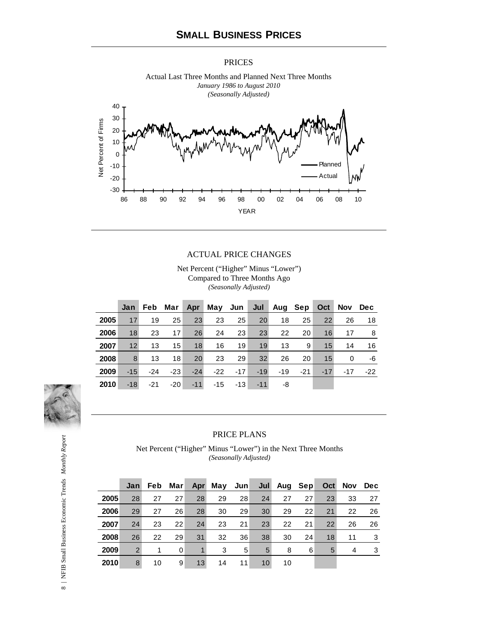#### PRICES



Actual Last Three Months and Planned Next Three Months *January 1986 to August 2010* 

#### ACTUAL PRICE CHANGES

Net Percent ("Higher" Minus "Lower") Compared to Three Months Ago *(Seasonally Adjusted)*

|      | Jan   |       |       |       | Feb Mar Apr May Jun Jul Aug Sep |       |       |       |       | Oct   | Nov Dec |       |
|------|-------|-------|-------|-------|---------------------------------|-------|-------|-------|-------|-------|---------|-------|
| 2005 | 17    | 19    | 25    | 23    | 23                              | 25    | 20    | 18    | 25    | 22    | 26      | 18    |
| 2006 | 18    | 23    | 17    | 26    | 24                              | 23    | 23    | 22    | 20    | 16    | 17      | 8     |
| 2007 | 12    | 13    | 15    | 18    | 16                              | 19    | 19    | 13    | 9     | 15    | 14      | 16    |
| 2008 | 8     | 13    | 18    | 20    | 23                              | 29    | 32    | 26    | 20    | 15    | 0       | -6    |
| 2009 | $-15$ | $-24$ | $-23$ | $-24$ | $-22$                           | $-17$ | $-19$ | $-19$ | $-21$ | $-17$ | $-17$   | $-22$ |
| 2010 | $-18$ | $-21$ | $-20$ | $-11$ | $-15$                           | -13   | $-11$ | -8    |       |       |         |       |



#### PRICE PLANS

Net Percent ("Higher" Minus "Lower") in the Next Three Months *(Seasonally Adjusted)*

|      | Jan | Feb | Mar∣ | Apr | May | Jun | Jul | Aug Sep |    | Oct | <b>Nov</b> | <b>Dec</b> |
|------|-----|-----|------|-----|-----|-----|-----|---------|----|-----|------------|------------|
| 2005 | 28  | 27  | 27   | 28  | 29  | 28  | 24  | 27      | 27 | 23  | 33         | 27         |
| 2006 | 29  | 27  | 26   | 28  | 30  | 29  | 30  | 29      | 22 | 21  | 22         | 26         |
| 2007 | 24  | 23  | 22   | 24  | 23  | 21  | 23  | 22      | 21 | 22  | 26         | 26         |
| 2008 | 26  | 22  | 29   | 31  | 32  | 36  | 38  | 30      | 24 | 18  | 11         | 3          |
| 2009 | 2   | 1   | 0    | 1   | 3   | 5   | 5   | 8       | 6  | 5   | 4          | 3          |
| 2010 | 8   | 10  | 9    | 13  | 14  | 11  | 10  | 10      |    |     |            |            |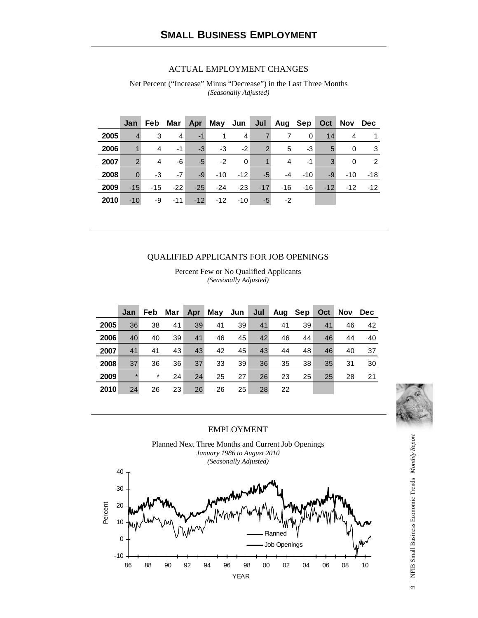#### ACTUAL EMPLOYMENT CHANGES

Net Percent ("Increase" Minus "Decrease") in the Last Three Months *(Seasonally Adjusted)*

|      | Jan           | <b>Feb</b> | Mar   | Apr   |       | May Jun $ $ | Jul            | Aug Sep |       | Oct   | Nov   | Dec   |
|------|---------------|------------|-------|-------|-------|-------------|----------------|---------|-------|-------|-------|-------|
| 2005 |               | 3          | 4     | $-1$  |       | 4           |                |         | 0     | 14    | 4     |       |
| 2006 |               | 4          | $-1$  | $-3$  | -3    | $-2$        | $\overline{2}$ | 5       | -3    | 5     | 0     | 3     |
| 2007 | $\mathcal{P}$ | 4          | -6    | $-5$  | $-2$  | $\Omega$    |                | 4       | -1    | 3     | 0     | 2     |
| 2008 | $\Omega$      | -3         | $-7$  | $-9$  | $-10$ | $-12$       | -5             | $-4$    | $-10$ | $-9$  | $-10$ | -18   |
| 2009 | $-15$         | -15        | $-22$ | $-25$ | $-24$ | $-23$       | $-17$          | $-16$   | $-16$ | $-12$ | $-12$ | $-12$ |
| 2010 | $-10$         | -9         | $-11$ | $-12$ | $-12$ | $-10$       | -5             | -2      |       |       |       |       |

#### QUALIFIED APPLICANTS FOR JOB OPENINGS

Percent Few or No Qualified Applicants *(Seasonally Adjusted)*

|      | Jan     | <b>Feb</b> | Mar | Apr | May Jun |    | Jul | Aug Sep |    | Oct | <b>Nov</b> | Dec |
|------|---------|------------|-----|-----|---------|----|-----|---------|----|-----|------------|-----|
| 2005 | 36      | 38         | 41  | 39  | 41      | 39 | 41  | 41      | 39 | 41  | 46         | 42  |
| 2006 | 40      | 40         | 39  | 41  | 46      | 45 | 42  | 46      | 44 | 46  | 44         | 40  |
| 2007 | 41      | 41         | 43  | 43  | 42      | 45 | 43  | 44      | 48 | 46  | 40         | 37  |
| 2008 | 37      | 36         | 36  | 37  | 33      | 39 | 36  | 35      | 38 | 35  | 31         | 30  |
| 2009 | $\star$ | $\star$    | 24  | 24  | 25      | 27 | 26  | 23      | 25 | 25  | 28         | 21  |
| 2010 | 24      | 26         | 23  | 26  | 26      | 25 | 28  | 22      |    |     |            |     |



#### EMPLOYMENT

Planned Next Three Months and Current Job Openings *January 1986 to August 2010 (Seasonally Adjusted)*



9 | NFIB Small Business Economic Trends Monthly Report 9 | NFIB Small Business Economic Trends *Monthly Report*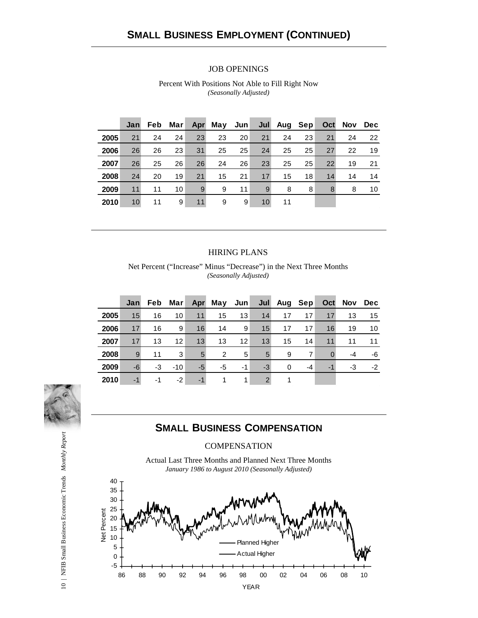#### JOB OPENINGS

|      | Jan | Feb | Mar | Apr | May | Jun <sub>2</sub> |    | Jul Aug Sep |    | Oct | Nov | Dec |
|------|-----|-----|-----|-----|-----|------------------|----|-------------|----|-----|-----|-----|
| 2005 | 21  | 24  | 24  | 23  | 23  | 20               | 21 | 24          | 23 | 21  | 24  | 22  |
| 2006 | 26  | 26  | 23  | 31  | 25  | 25               | 24 | 25          | 25 | 27  | 22  | 19  |
| 2007 | 26  | 25  | 26  | 26  | 24  | 26               | 23 | 25          | 25 | 22  | 19  | 21  |
| 2008 | 24  | 20  | 19  | 21  | 15  | 21               | 17 | 15          | 18 | 14  | 14  | 14  |
| 2009 | 11  | 11  | 10  | 9   | 9   | 11               | 9  | 8           | 8  | 8   | 8   | 10  |
| 2010 | 10  | 11  | 9   | 11  | 9   | 9                | 10 | 11          |    |     |     |     |

Percent With Positions Not Able to Fill Right Now *(Seasonally Adjusted)*

#### HIRING PLANS

Net Percent ("Increase" Minus "Decrease") in the Next Three Months *(Seasonally Adjusted)*

|      | Jan | Feb | Mar             |      | Apr May Jun |    |               | Jul Aug Sep |      | Oct      |    | Nov Dec |
|------|-----|-----|-----------------|------|-------------|----|---------------|-------------|------|----------|----|---------|
| 2005 | 15  | 16  | 10              | 11   | 15          | 13 | 14            | 17          | 17   | 17       | 13 | 15      |
| 2006 | 17  | 16  | 9               | 16   | 14          | 9  | 15            | 17          | 17   | 16       | 19 | 10      |
| 2007 | 17  | 13  | 12 <sup>2</sup> | 13   | 13          | 12 | 13            | 15          | 14   | 11       | 11 | 11      |
| 2008 | 9   | 11  | 3               | 5    | 2           | 5  | 5             | 9           | 7    | $\Omega$ | -4 | -6      |
| 2009 | -6  | -3  | $-10$           | $-5$ | -5          | -1 | $-3$          | $\Omega$    | $-4$ | $-1$     | -3 | $-2$    |
| 2010 | -1  | -1  | -2              | $-1$ |             |    | $\mathcal{P}$ |             |      |          |    |         |



## **SMALL BUSINESS COMPENSATION**

#### **COMPENSATION**

Actual Last Three Months and Planned Next Three Months *January 1986 to August 2010 (Seasonally Adjusted)*

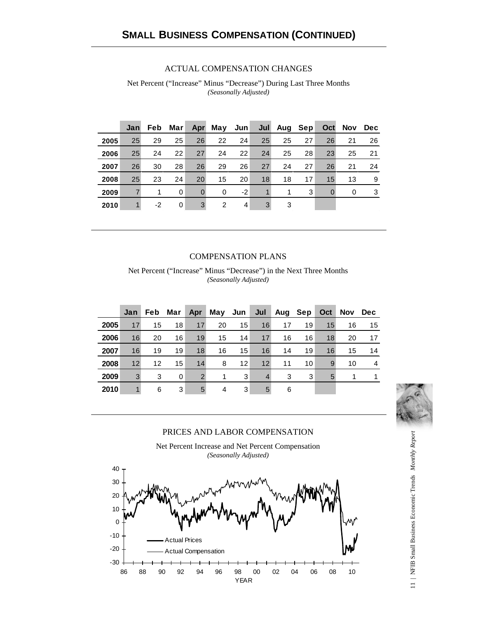#### ACTUAL COMPENSATION CHANGES

Net Percent ("Increase" Minus "Decrease") During Last Three Months *(Seasonally Adjusted)*

|      | Jan          | Feb. | Marl |          | Apr May Jun |      |    | Jul Aug Sep |    | Oct      | <b>Nov</b> | Dec |
|------|--------------|------|------|----------|-------------|------|----|-------------|----|----------|------------|-----|
| 2005 | 25           | 29   | 25   | 26       | 22          | 24   | 25 | 25          | 27 | 26       | 21         | 26  |
| 2006 | 25           | 24   | 22   | 27       | 24          | 22   | 24 | 25          | 28 | 23       | 25         | 21  |
| 2007 | 26           | 30   | 28   | 26       | 29          | 26   | 27 | 24          | 27 | 26       | 21         | 24  |
| 2008 | 25           | 23   | 24   | 20       | 15          | 20   | 18 | 18          | 17 | 15       | 13         | 9   |
| 2009 |              | 1    | 0    | $\Omega$ | $\Omega$    | $-2$ |    |             | 3  | $\Omega$ | 0          | 3   |
| 2010 | $\mathbf{1}$ | $-2$ | 0    | 3        | 2           | 4    | 3  | 3           |    |          |            |     |

#### COMPENSATION PLANS

Net Percent ("Increase" Minus "Decrease") in the Next Three Months *(Seasonally Adjusted)*

|      | Jan | Feb. | Mar $ $ | Apr            | May Jun $ $ |    |                | Jul Aug Sep |    | Oct | Nov Dec |                |
|------|-----|------|---------|----------------|-------------|----|----------------|-------------|----|-----|---------|----------------|
| 2005 | 17  | 15   | 18      | 17             | 20          | 15 | 16             | 17          | 19 | 15  | 16      | 15             |
| 2006 | 16  | 20   | 16      | 19             | 15          | 14 | 17             | 16          | 16 | 18  | 20      | 17             |
| 2007 | 16  | 19   | 19      | 18             | 16          | 15 | 16             | 14          | 19 | 16  | 15      | 14             |
| 2008 | 12  | 12   | 15      | 14             | 8           | 12 | 12             | 11          | 10 | 9   | 10      | $\overline{4}$ |
| 2009 | 3   | 3    | 0       | $\overline{2}$ |             | 3  | $\overline{4}$ | 3           | 3  | 5   |         | 1              |
| 2010 | 1   | 6    | 3       | 5              | 4           | 3  | 5              | 6           |    |     |         |                |



#### PRICES AND LABOR COMPENSATION

Net Percent Increase and Net Percent Compensation *(Seasonally Adjusted)*



11 | NFIB Small Business Economic Trends Monthly Report 11 | NFIB Small Business Economic Trends *Monthly Report*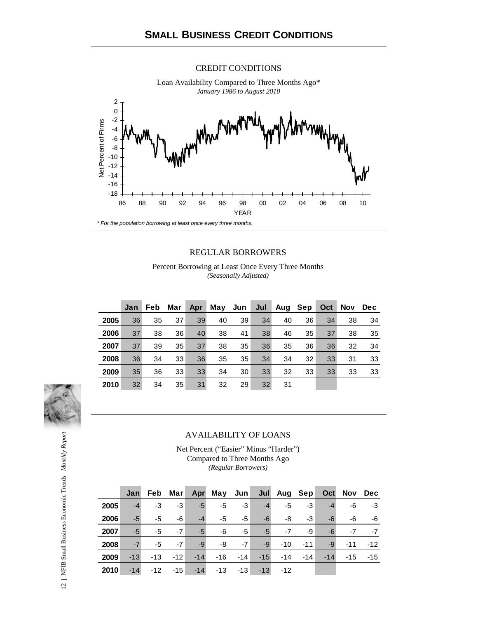#### CREDIT CONDITIONS



#### REGULAR BORROWERS

Percent Borrowing at Least Once Every Three Months *(Seasonally Adjusted)*

|      | Jan | Feb. | Mar | Apr | May Jun |    | Jul | Aug Sep |    | Oct | <b>Nov</b> | <b>Dec</b> |
|------|-----|------|-----|-----|---------|----|-----|---------|----|-----|------------|------------|
| 2005 | 36  | 35   | 37  | 39  | 40      | 39 | 34  | 40      | 36 | 34  | 38         | 34         |
| 2006 | 37  | 38   | 36  | 40  | 38      | 41 | 38  | 46      | 35 | 37  | 38         | 35         |
| 2007 | 37  | 39   | 35  | 37  | 38      | 35 | 36  | 35      | 36 | 36  | 32         | 34         |
| 2008 | 36  | 34   | 33  | 36  | 35      | 35 | 34  | 34      | 32 | 33  | 31         | 33         |
| 2009 | 35  | 36   | 33  | 33  | 34      | 30 | 33  | 32      | 33 | 33  | 33         | 33         |
| 2010 | 32  | 34   | 35  | 31  | 32      | 29 | 32  | 31      |    |     |            |            |



#### AVAILABILITY OF LOANS

Net Percent ("Easier" Minus "Harder") Compared to Three Months Ago *(Regular Borrowers)*

|      | Jan   |    |      |                 | Feb Mar Apr May Jun Jul Aug Sep Oct Nov Dec |      |      |            |       |       |       |       |
|------|-------|----|------|-----------------|---------------------------------------------|------|------|------------|-------|-------|-------|-------|
| 2005 | $-4$  | -3 | $-3$ | $-5$            | -5                                          | $-3$ | $-4$ | -5         | $-3$  | $-4$  | -6    | $-3$  |
| 2006 | $-5$  | -5 | -6   | $-4$            | $-5$                                        | -5   | -6   | -8         | $-3$  | -6    | -6    | $-6$  |
| 2007 | $-5$  | -5 | $-7$ | $-5$            | -6                                          | $-5$ | $-5$ | $-7$       | -9    | -6    | $-7$  | $-7$  |
| 2008 | $-7$  | -5 | $-7$ | $-9$            | -8                                          | $-7$ | $-9$ | $-10$      | $-11$ | $-9$  | $-11$ | $-12$ |
| 2009 | $-13$ |    |      | $-13 - 12 - 14$ | $-16 -14$                                   |      |      | $-15 - 14$ | $-14$ | $-14$ | $-15$ | $-15$ |
| 2010 | $-14$ |    |      |                 | $-12$ $-15$ $-14$ $-13$ $-13$ $-13$ $-12$   |      |      |            |       |       |       |       |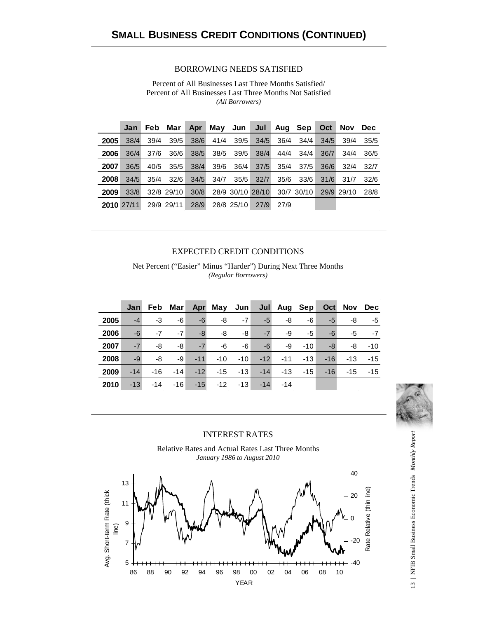#### BORROWING NEEDS SATISFIED

Percent of All Businesses Last Three Months Satisfied/ Percent of All Businesses Last Three Months Not Satisfied *(All Borrowers)*

|      | <b>Jan</b> | Feb  | Mar        | Apr  |      |            | May Jun Jul      | Aug Sepl |               | Oct  | <b>Nov</b> | <b>Dec</b> |
|------|------------|------|------------|------|------|------------|------------------|----------|---------------|------|------------|------------|
| 2005 | 38/4       | 39/4 | 39/5       | 38/6 | 41/4 | 39/5       | 34/5             | 36/4     | 34/4          | 34/5 | 39/4       | 35/5       |
| 2006 | 36/4       | 37/6 | 36/6       | 38/5 | 38/5 | 39/5       | 38/4             | 44/4     | 34/4          | 36/7 | 34/4       | 36/5       |
| 2007 | 36/5       | 40/5 | 35/5       | 38/4 | 39/6 | 36/4       | 37/5             | 35/4     | 37/5          | 36/6 | 32/4       | -32/7      |
| 2008 | 34/5       | 35/4 | 32/6       | 34/5 | 34/7 | 35/5       | 32/7             |          | $35/6$ $33/6$ | 31/6 | 31/7       | 32/6       |
| 2009 | 33/8       |      | 32/8 29/10 | 30/8 |      |            | 28/9 30/10 28/10 |          | 30/7 30/10    |      | 29/9 29/10 | 28/8       |
|      | 2010 27/11 |      | 29/9 29/11 | 28/9 |      | 28/8 25/10 | 27/9             | 27/9     |               |      |            |            |

#### EXPECTED CREDIT CONDITIONS

Net Percent ("Easier" Minus "Harder") During Next Three Months *(Regular Borrowers)*

|      | Jan   |       | Feb Mar |            | Apr May Jun Jul Aug Sep |       |            |            |       |       | Oct Nov Dec |       |
|------|-------|-------|---------|------------|-------------------------|-------|------------|------------|-------|-------|-------------|-------|
| 2005 | $-4$  | -3    | -6      | $-6$       | -8                      | $-7$  | -5         | -8         | -6    | -5    | -8          | -5    |
| 2006 | -6    | $-7$  | $-7$    | -8         | -8                      | -8    | $-7$       | -9         | -5    | -6    | -5          | $-7$  |
| 2007 | $-7$  | -8    | -8      | $-7$       | -6                      | -6    | -6         | -9         | $-10$ | -8    | -8          | $-10$ |
| 2008 | -9    | -8    | -9      | $-11$      | $-10$                   | $-10$ |            | $-12 - 11$ | $-13$ | $-16$ | $-13$       | $-15$ |
| 2009 | $-14$ | $-16$ |         | $-14 - 12$ | $-15$                   |       | $-13 - 14$ | $-13$      | $-15$ | $-16$ | $-15$       | $-15$ |
| 2010 | $-13$ | $-14$ | $-16$   | $-15$      | -12 -13                 |       | $-14$      | $-14$      |       |       |             |       |



#### INTEREST RATES





13 | NFIB Small Business Economic Trends Monthly Report 13 | NFIB Small Business Economic Trends *Monthly Report*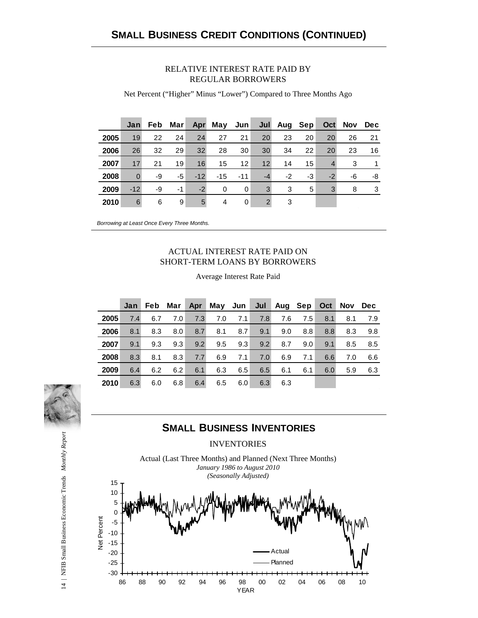#### RELATIVE INTEREST RATE PAID BY REGULAR BORROWERS

**Jan Feb Mar Apr May Jun Jul Aug Sep Oct Nov Dec** 19 22 24 24 27 21 20 23 20 20 26 21 26 32 29 32 28 30 30 34 22 20 23 16 17 21 19 16 15 12 12 14 15 4 3 1 0 -9 -5 -12 -15 -11 -4 -2 -3 -2 -6 -8 -12 -9 -1 -2 0 0 3 3 5 3 8 3 6 6 9 5 4 0 2 3

Net Percent ("Higher" Minus "Lower") Compared to Three Months Ago

*Borrowing at Least Once Every Three Months.*

#### ACTUAL INTEREST RATE PAID ON SHORT-TERM LOANS BY BORROWERS

|      | Jan | Feb | Mar | Apr | May Jun |     | Jul | Aug Sep |     | Oct | <b>Nov</b> | <b>Dec</b> |
|------|-----|-----|-----|-----|---------|-----|-----|---------|-----|-----|------------|------------|
| 2005 | 7.4 | 6.7 | 7.0 | 7.3 | 7.0     | 7.1 | 7.8 | 7.6     | 7.5 | 8.1 | 8.1        | 7.9        |
| 2006 | 8.1 | 8.3 | 8.0 | 8.7 | 8.1     | 8.7 | 9.1 | 9.0     | 8.8 | 8.8 | 8.3        | 9.8        |
| 2007 | 9.1 | 9.3 | 9.3 | 9.2 | 9.5     | 9.3 | 9.2 | 8.7     | 9.0 | 9.1 | 8.5        | 8.5        |
| 2008 | 8.3 | 8.1 | 8.3 | 7.7 | 6.9     | 7.1 | 7.0 | 6.9     | 7.1 | 6.6 | 7.0        | 6.6        |
| 2009 | 6.4 | 6.2 | 6.2 | 6.1 | 6.3     | 6.5 | 6.5 | 6.1     | 6.1 | 6.0 | 5.9        | 6.3        |
| 2010 | 6.3 | 6.0 | 6.8 | 6.4 | 6.5     | 6.0 | 6.3 | 6.3     |     |     |            |            |

Average Interest Rate Paid

## **SMALL BUSINESS INVENTORIES**

**INVENTORIES** 



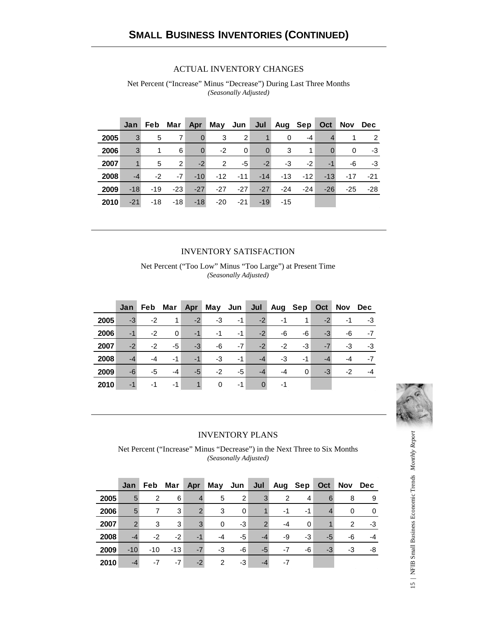#### ACTUAL INVENTORY CHANGES

Net Percent ("Increase" Minus "Decrease") During Last Three Months *(Seasonally Adjusted)*

|      | Jan   |       | Feb Mar |                | Apr May Jun Jul |                   |                | Aug Sep  |       | Oct      | Nov   | Dec |
|------|-------|-------|---------|----------------|-----------------|-------------------|----------------|----------|-------|----------|-------|-----|
| 2005 | 3     | 5     | 7       | $\mathbf{0}$   | 3               | 2                 |                | $\Omega$ | -4    |          |       | 2   |
| 2006 | 3     | 1     | 6       | $\overline{0}$ | $-2$            | 0                 | $\overline{0}$ | 3        | 1     | $\Omega$ | 0     | -3  |
| 2007 | 1     | 5     | 2       | $-2$           | 2               | -5                | $-2$           | -3       | $-2$  | $-1$     | -6    | -3  |
| 2008 | $-4$  | $-2$  | $-7$    | $-10$          |                 | $-12$ $-11$ $-14$ |                | -13      | $-12$ | $-13$    | -17   | -21 |
| 2009 | $-18$ | $-19$ | $-23$   | $-27$          | $-27$           | $-27$             | $-27$          | $-24$    | $-24$ | $-26$    | $-25$ | -28 |
| 2010 | $-21$ | $-18$ | $-18$   | $-18$          | -20             | $-21$             | $-19$          | -15      |       |          |       |     |

#### INVENTORY SATISFACTION

Net Percent ("Too Low" Minus "Too Large") at Present Time *(Seasonally Adjusted)*

|      | Jan  | Feb  | Mar         | Apr  |      |      |      | May Jun Jul Aug Sep |          | Oct  | <b>Nov</b> | <b>Dec</b> |
|------|------|------|-------------|------|------|------|------|---------------------|----------|------|------------|------------|
| 2005 | $-3$ | -2   | $\mathbf 1$ | $-2$ | -3   | $-1$ | $-2$ | -1                  | 1        | $-2$ | -1         | $-3$       |
| 2006 | $-1$ | $-2$ | 0           | $-1$ | $-1$ | $-1$ | $-2$ | -6                  | -6       | $-3$ | -6         | $-7$       |
| 2007 | $-2$ | $-2$ | -5          | $-3$ | -6   | $-7$ | $-2$ | -2                  | -3       | $-7$ | -3         | $-3$       |
| 2008 | $-4$ | -4   | $-1$        | $-1$ | -3   | $-1$ | $-4$ | $-3$                | -1       | -4   | -4         | $-7$       |
| 2009 | -6   | -5   | -4          | $-5$ | $-2$ | $-5$ | $-4$ | -4                  | $\Omega$ | $-3$ | -2         | $-4$       |
| 2010 | $-1$ | -1   | -1          |      | 0    | -1   |      | -1                  |          |      |            |            |



#### INVENTORY PLANS

Net Percent ("Increase" Minus "Decrease") in the Next Three to Six Months *(Seasonally Adjusted)*

|      | Jan           | Feb            | Mar   | Apr            |          | May Jun  | Jul           | Aug Sep        |    | Oct  | Nov           | <b>Dec</b> |
|------|---------------|----------------|-------|----------------|----------|----------|---------------|----------------|----|------|---------------|------------|
| 2005 | 5             | $\overline{2}$ | 6     | $\overline{4}$ | 5        | 2        | 3             | $\overline{2}$ | 4  | 6    | 8             | 9          |
| 2006 | 5             | 7              | 3     | $\mathcal{P}$  | 3        | $\Omega$ |               | -1             | -1 |      | $\Omega$      | 0          |
| 2007 | $\mathcal{P}$ | 3              | 3     | 3              | $\Omega$ | -3       | $\mathcal{P}$ | -4             | 0  |      | $\mathcal{P}$ | -3         |
| 2008 | $-4$          | $-2$           | $-2$  | $-1$           | $-4$     | -5       | $-4$          | -9             | -3 | $-5$ | -6            | -4         |
| 2009 | $-10$         | $-10$          | $-13$ | $-7$           | $-3$     | -6       | -5            | $-7$           | -6 | $-3$ | -3            | -8         |
| 2010 | -4            | -7             | $-7$  | $-2$           | 2        | -3       | $-4$          | -7             |    |      |               |            |

15 | NFIB Small Business Economic Trends Monthly Report 15 | NFIB Small Business Economic Trends *Monthly Report*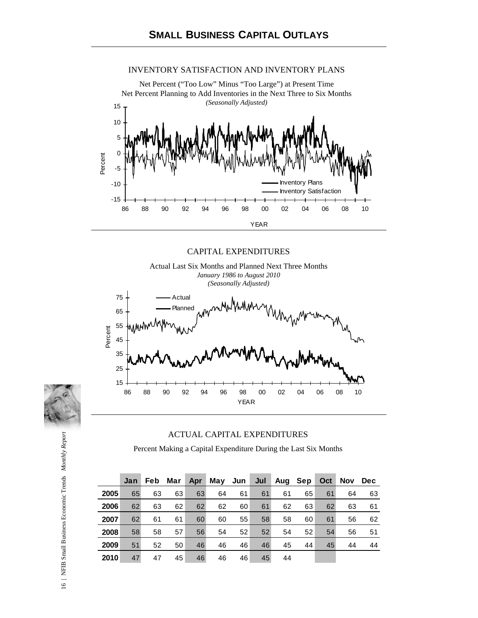#### INVENTORY SATISFACTION AND INVENTORY PLANS

Net Percent ("Too Low" Minus "Too Large") at Present Time Net Percent Planning to Add Inventories in the Next Three to Six Months *(Seasonally Adjusted)*



CAPITAL EXPENDITURES



#### ACTUAL CAPITAL EXPENDITURES

Percent Making a Capital Expenditure During the Last Six Months

|      | Jan | <b>Feb</b> | Mar | <b>Apr</b> | May Jun |    | Jul | Aug Sep |    | Oct | Nov | <b>Dec</b> |
|------|-----|------------|-----|------------|---------|----|-----|---------|----|-----|-----|------------|
| 2005 | 65  | 63         | 63  | 63         | 64      | 61 | 61  | 61      | 65 | 61  | 64  | 63         |
| 2006 | 62  | 63         | 62  | 62         | 62      | 60 | 61  | 62      | 63 | 62  | 63  | 61         |
| 2007 | 62  | 61         | 61  | 60         | 60      | 55 | 58  | 58      | 60 | 61  | 56  | 62         |
| 2008 | 58  | 58         | 57  | 56         | 54      | 52 | 52  | 54      | 52 | 54  | 56  | 51         |
| 2009 | 51  | 52         | 50  | 46         | 46      | 46 | 46  | 45      | 44 | 45  | 44  | 44         |
| 2010 | 47  | 47         | 45  | 46         | 46      | 46 | 45  | 44      |    |     |     |            |

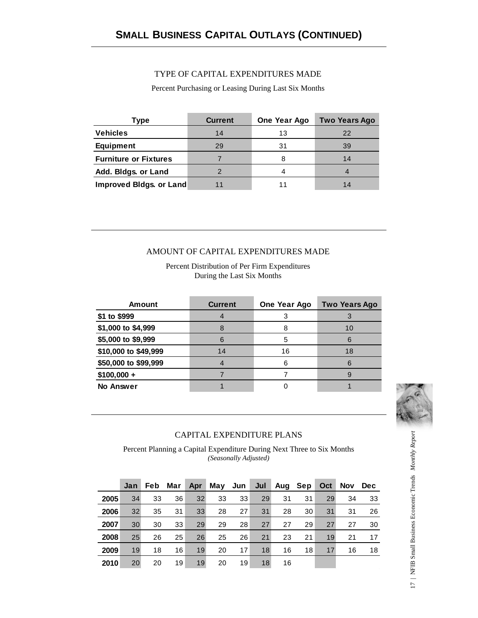#### TYPE OF CAPITAL EXPENDITURES MADE

Percent Purchasing or Leasing During Last Six Months

| Type                         | <b>Current</b> | One Year Ago | <b>Two Years Ago</b> |
|------------------------------|----------------|--------------|----------------------|
| <b>Vehicles</b>              | 14             | 13           | 22                   |
| <b>Equipment</b>             | 29             | 31           | 39                   |
| <b>Furniture or Fixtures</b> |                |              | 14                   |
| Add. Bidgs. or Land          |                |              |                      |
| Improved Bldgs. or Land      |                |              | 14                   |

#### AMOUNT OF CAPITAL EXPENDITURES MADE

Percent Distribution of Per Firm Expenditures During the Last Six Months

| <b>Amount</b>        | <b>Current</b> | One Year Ago | <b>Two Years Ago</b> |  |
|----------------------|----------------|--------------|----------------------|--|
| \$1 to \$999         |                |              |                      |  |
| \$1,000 to \$4,999   |                |              | 10                   |  |
| \$5,000 to \$9,999   | 6              | 5            |                      |  |
| \$10,000 to \$49,999 | 14             | 16           | 18                   |  |
| \$50,000 to \$99,999 |                |              |                      |  |
| $$100,000 +$         |                |              |                      |  |
| <b>No Answer</b>     |                |              |                      |  |



#### CAPITAL EXPENDITURE PLANS

Percent Planning a Capital Expenditure During Next Three to Six Months *(Seasonally Adjusted)*

|      | Jan             | <b>Feb</b> | Mar | Apr | May Jun |    |    | Jul Aug Sep |    | Oct | <b>Nov</b> | <b>Dec</b> |
|------|-----------------|------------|-----|-----|---------|----|----|-------------|----|-----|------------|------------|
| 2005 | 34              | 33         | 36  | 32  | 33      | 33 | 29 | 31          | 31 | 29  | 34         | 33         |
| 2006 | 32 <sup>2</sup> | 35         | 31  | 33  | 28      | 27 | 31 | 28          | 30 | 31  | 31         | 26         |
| 2007 | 30              | 30         | 33  | 29  | 29      | 28 | 27 | 27          | 29 | 27  | 27         | 30         |
| 2008 | 25              | 26         | 25  | 26  | 25      | 26 | 21 | 23          | 21 | 19  | 21         | 17         |
| 2009 | 19              | 18         | 16  | 19  | 20      | 17 | 18 | 16          | 18 | 17  | 16         | 18         |
| 2010 | 20              | 20         | 19  | 19  | 20      | 19 | 18 | 16          |    |     |            |            |

17 | NFIB Small Business Economic Trends Monthly Report 17 | NFIB Small Business Economic Trends *Monthly Report*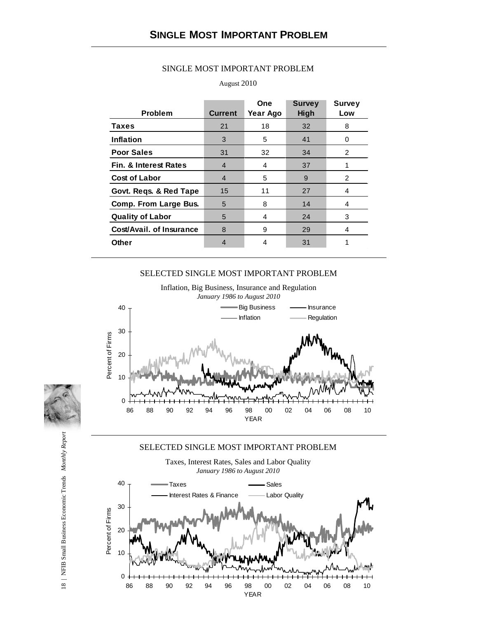| <b>Problem</b>                   | <b>Current</b> | One<br>Year Ago | <b>Survey</b><br>High | <b>Survey</b><br>Low |
|----------------------------------|----------------|-----------------|-----------------------|----------------------|
| <b>Taxes</b>                     | 21             | 18              | 32                    | 8                    |
| Inflation                        | 3              | 5               | 41                    | 0                    |
| <b>Poor Sales</b>                | 31             | 32              | 34                    | 2                    |
| <b>Fin. &amp; Interest Rates</b> | 4              | 4               | 37                    |                      |
| <b>Cost of Labor</b>             | $\overline{4}$ | 5               | 9                     | 2                    |
| Govt. Regs. & Red Tape           | 15             | 11              | 27                    | 4                    |
| <b>Comp. From Large Bus.</b>     | 5              | 8               | 14                    | 4                    |
| <b>Quality of Labor</b>          | 5              | 4               | 24                    | 3                    |
| Cost/Avail, of Insurance         | 8              | 9               | 29                    | 4                    |
| <b>Other</b>                     | 4              | 4               | 31                    |                      |

#### SINGLE MOST IMPORTANT PROBLEM

#### August 2010

#### SELECTED SINGLE MOST IMPORTANT PROBLEM



Inflation, Big Business, Insurance and Regulation

#### SELECTED SINGLE MOST IMPORTANT PROBLEM





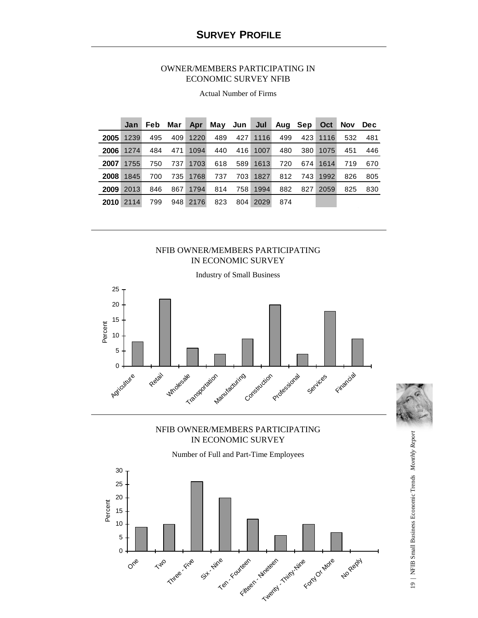#### OWNER/MEMBERS PARTICIPATING IN ECONOMIC SURVEY NFIB

|      | Jan  | Feb | Mar l | Apr      |     |     | May Jun Jul | Aug Sep |     | Oct  | <b>Nov</b> | Dec |
|------|------|-----|-------|----------|-----|-----|-------------|---------|-----|------|------------|-----|
| 2005 | 1239 | 495 | 409   | 1220     | 489 | 427 | 1116        | 499     | 423 | 1116 | 532        | 481 |
| 2006 | 1274 | 484 | 471   | 1094     | 440 | 416 | 1007        | 480     | 380 | 1075 | 451        | 446 |
| 2007 | 1755 | 750 | 737   | 1703     | 618 | 589 | 1613        | 720     | 674 | 1614 | 719        | 670 |
| 2008 | 1845 | 700 | 735   | 1768     | 737 | 703 | 1827        | 812     | 743 | 1992 | 826        | 805 |
| 2009 | 2013 | 846 | 867   | 1794     | 814 | 758 | 1994        | 882     | 827 | 2059 | 825        | 830 |
| 2010 | 2114 | 799 |       | 948 2176 | 823 | 804 | 2029        | 874     |     |      |            |     |

Actual Number of Firms

#### NFIB OWNER/MEMBERS PARTICIPATING IN ECONOMIC SURVEY



### NFIB OWNER/MEMBERS PARTICIPATING IN ECONOMIC SURVEY

Number of Full and Part-Time Employees



19 | NFIB Small Business Economic Trends *Monthly Report*

19 | NFIB Small Business Economic Trends Monthly Report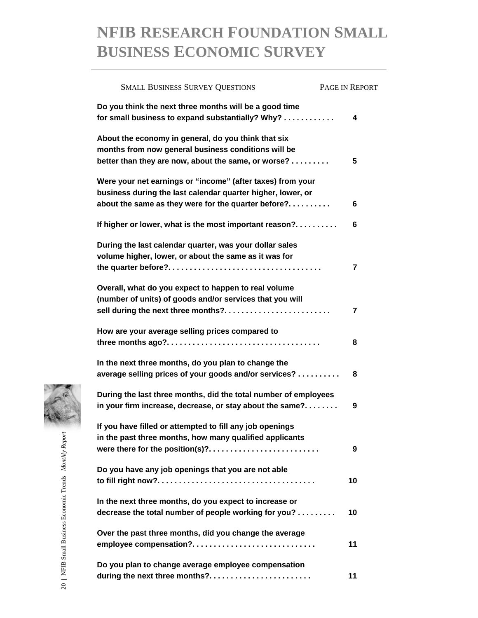## **NFIB RESEARCH FOUNDATION SMALL BUSINESS ECONOMIC SURVEY**

| <b>SMALL BUSINESS SURVEY QUESTIONS</b>                                                                                                                                           | PAGE IN REPORT |
|----------------------------------------------------------------------------------------------------------------------------------------------------------------------------------|----------------|
| Do you think the next three months will be a good time<br>for small business to expand substantially? Why?                                                                       | 4              |
| About the economy in general, do you think that six<br>months from now general business conditions will be<br>better than they are now, about the same, or worse?                | 5              |
| Were your net earnings or "income" (after taxes) from your<br>business during the last calendar quarter higher, lower, or<br>about the same as they were for the quarter before? | 6              |
| If higher or lower, what is the most important reason?                                                                                                                           | 6              |
| During the last calendar quarter, was your dollar sales<br>volume higher, lower, or about the same as it was for                                                                 | 7              |
| Overall, what do you expect to happen to real volume<br>(number of units) of goods and/or services that you will<br>sell during the next three months?                           | 7              |
| How are your average selling prices compared to                                                                                                                                  | 8              |
| In the next three months, do you plan to change the<br>average selling prices of your goods and/or services?                                                                     | 8              |
| During the last three months, did the total number of employees<br>in your firm increase, decrease, or stay about the same?                                                      | 9              |
| If you have filled or attempted to fill any job openings<br>in the past three months, how many qualified applicants<br>were there for the position(s)?                           | 9              |
| Do you have any job openings that you are not able                                                                                                                               | 10             |
| In the next three months, do you expect to increase or<br>decrease the total number of people working for you?                                                                   | 10             |
| Over the past three months, did you change the average<br>employee compensation?                                                                                                 | 11             |
| Do you plan to change average employee compensation<br>during the next three months?                                                                                             | 11             |